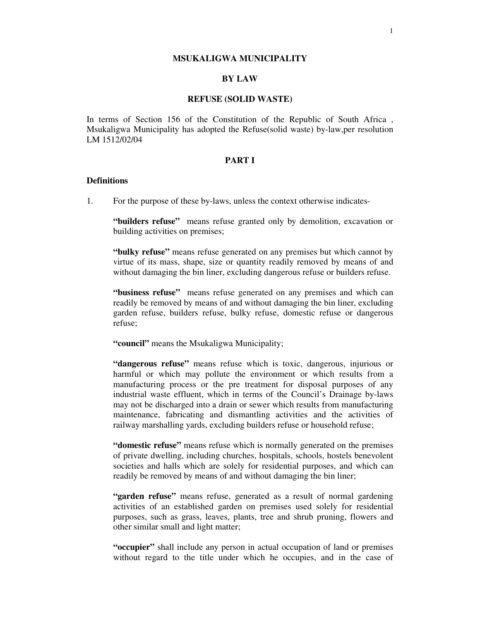#### **MSUKALIGWA MUNICIPALITY**

## **BY LAW**

#### **REFUSE (SOLID WASTE)**

In terms of Section 156 of the Constitution of the Republic of South Africa , Msukaligwa Municipality has adopted the Refuse(solid waste) by-law,per resolution LM 1512/02/04

### **PART I**

### **Definitions**

1. For the purpose of these by-laws, unless the context otherwise indicates-

**"builders refuse"** means refuse granted only by demolition, excavation or building activities on premises;

**"bulky refuse"** means refuse generated on any premises but which cannot by virtue of its mass, shape, size or quantity readily removed by means of and without damaging the bin liner, excluding dangerous refuse or builders refuse.

**"business refuse"** means refuse generated on any premises and which can readily be removed by means of and without damaging the bin liner, excluding garden refuse, builders refuse, bulky refuse, domestic refuse or dangerous refuse;

**"council"** means the Msukaligwa Municipality;

**"dangerous refuse"** means refuse which is toxic, dangerous, injurious or harmful or which may pollute the environment or which results from a manufacturing process or the pre treatment for disposal purposes of any industrial waste effluent, which in terms of the Council's Drainage by-laws may not be discharged into a drain or sewer which results from manufacturing maintenance, fabricating and dismantling activities and the activities of railway marshalling yards, excluding builders refuse or household refuse;

**"domestic refuse"** means refuse which is normally generated on the premises of private dwelling, including churches, hospitals, schools, hostels benevolent societies and halls which are solely for residential purposes, and which can readily be removed by means of and without damaging the bin liner;

**"garden refuse"** means refuse, generated as a result of normal gardening activities of an established garden on premises used solely for residential purposes, such as grass, leaves, plants, tree and shrub pruning, flowers and other similar small and light matter;

**"occupier"** shall include any person in actual occupation of land or premises without regard to the title under which he occupies, and in the case of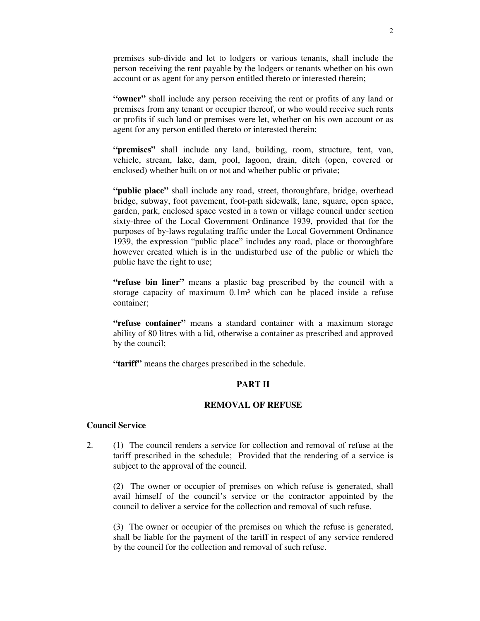premises sub-divide and let to lodgers or various tenants, shall include the person receiving the rent payable by the lodgers or tenants whether on his own account or as agent for any person entitled thereto or interested therein;

**"owner"** shall include any person receiving the rent or profits of any land or premises from any tenant or occupier thereof, or who would receive such rents or profits if such land or premises were let, whether on his own account or as agent for any person entitled thereto or interested therein;

**"premises"** shall include any land, building, room, structure, tent, van, vehicle, stream, lake, dam, pool, lagoon, drain, ditch (open, covered or enclosed) whether built on or not and whether public or private;

**"public place"** shall include any road, street, thoroughfare, bridge, overhead bridge, subway, foot pavement, foot-path sidewalk, lane, square, open space, garden, park, enclosed space vested in a town or village council under section sixty-three of the Local Government Ordinance 1939, provided that for the purposes of by-laws regulating traffic under the Local Government Ordinance 1939, the expression "public place" includes any road, place or thoroughfare however created which is in the undisturbed use of the public or which the public have the right to use;

**"refuse bin liner"** means a plastic bag prescribed by the council with a storage capacity of maximum  $0.1m<sup>3</sup>$  which can be placed inside a refuse container;

**"refuse container"** means a standard container with a maximum storage ability of 80 litres with a lid, otherwise a container as prescribed and approved by the council;

**"tariff"** means the charges prescribed in the schedule.

# **PART II**

### **REMOVAL OF REFUSE**

## **Council Service**

2. (1) The council renders a service for collection and removal of refuse at the tariff prescribed in the schedule; Provided that the rendering of a service is subject to the approval of the council.

(2) The owner or occupier of premises on which refuse is generated, shall avail himself of the council's service or the contractor appointed by the council to deliver a service for the collection and removal of such refuse.

(3) The owner or occupier of the premises on which the refuse is generated, shall be liable for the payment of the tariff in respect of any service rendered by the council for the collection and removal of such refuse.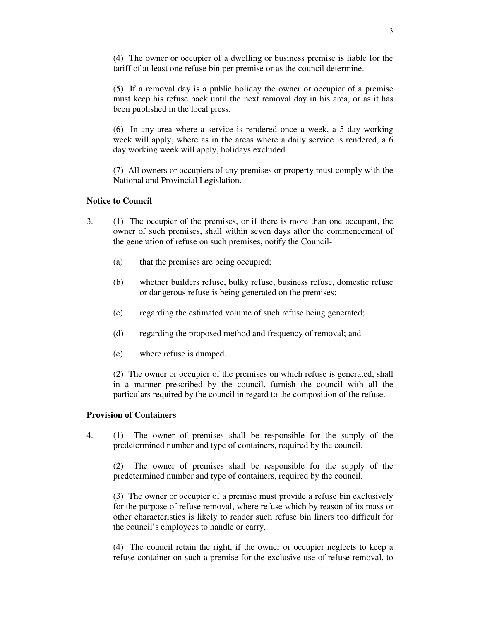(4) The owner or occupier of a dwelling or business premise is liable for the tariff of at least one refuse bin per premise or as the council determine.

(5) If a removal day is a public holiday the owner or occupier of a premise must keep his refuse back until the next removal day in his area, or as it has been published in the local press.

(6) In any area where a service is rendered once a week, a 5 day working week will apply, where as in the areas where a daily service is rendered, a 6 day working week will apply, holidays excluded.

(7) All owners or occupiers of any premises or property must comply with the National and Provincial Legislation.

#### **Notice to Council**

- 3. (1) The occupier of the premises, or if there is more than one occupant, the owner of such premises, shall within seven days after the commencement of the generation of refuse on such premises, notify the Council-
	- (a) that the premises are being occupied;
	- (b) whether builders refuse, bulky refuse, business refuse, domestic refuse or dangerous refuse is being generated on the premises;
	- (c) regarding the estimated volume of such refuse being generated;
	- (d) regarding the proposed method and frequency of removal; and
	- (e) where refuse is dumped.

(2) The owner or occupier of the premises on which refuse is generated, shall in a manner prescribed by the council, furnish the council with all the particulars required by the council in regard to the composition of the refuse.

## **Provision of Containers**

4. (1) The owner of premises shall be responsible for the supply of the predetermined number and type of containers, required by the council.

(2) The owner of premises shall be responsible for the supply of the predetermined number and type of containers, required by the council.

(3) The owner or occupier of a premise must provide a refuse bin exclusively for the purpose of refuse removal, where refuse which by reason of its mass or other characteristics is likely to render such refuse bin liners too difficult for the council's employees to handle or carry.

(4) The council retain the right, if the owner or occupier neglects to keep a refuse container on such a premise for the exclusive use of refuse removal, to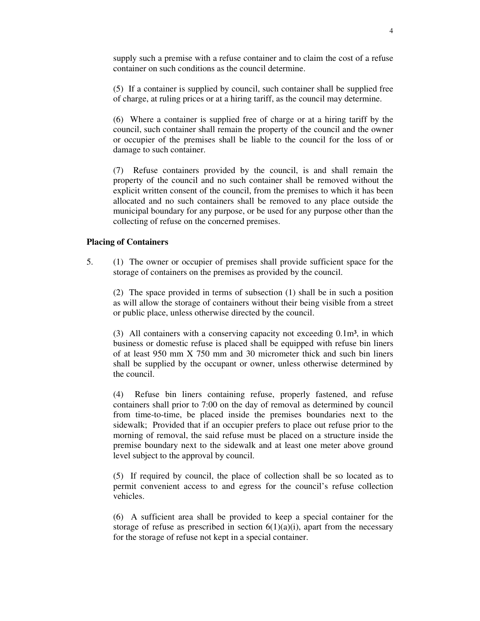supply such a premise with a refuse container and to claim the cost of a refuse container on such conditions as the council determine.

(5) If a container is supplied by council, such container shall be supplied free of charge, at ruling prices or at a hiring tariff, as the council may determine.

(6) Where a container is supplied free of charge or at a hiring tariff by the council, such container shall remain the property of the council and the owner or occupier of the premises shall be liable to the council for the loss of or damage to such container.

(7) Refuse containers provided by the council, is and shall remain the property of the council and no such container shall be removed without the explicit written consent of the council, from the premises to which it has been allocated and no such containers shall be removed to any place outside the municipal boundary for any purpose, or be used for any purpose other than the collecting of refuse on the concerned premises.

# **Placing of Containers**

5. (1) The owner or occupier of premises shall provide sufficient space for the storage of containers on the premises as provided by the council.

(2) The space provided in terms of subsection (1) shall be in such a position as will allow the storage of containers without their being visible from a street or public place, unless otherwise directed by the council.

(3) All containers with a conserving capacity not exceeding  $0.1m<sup>3</sup>$ , in which business or domestic refuse is placed shall be equipped with refuse bin liners of at least 950 mm X 750 mm and 30 micrometer thick and such bin liners shall be supplied by the occupant or owner, unless otherwise determined by the council.

(4) Refuse bin liners containing refuse, properly fastened, and refuse containers shall prior to 7:00 on the day of removal as determined by council from time-to-time, be placed inside the premises boundaries next to the sidewalk; Provided that if an occupier prefers to place out refuse prior to the morning of removal, the said refuse must be placed on a structure inside the premise boundary next to the sidewalk and at least one meter above ground level subject to the approval by council.

(5) If required by council, the place of collection shall be so located as to permit convenient access to and egress for the council's refuse collection vehicles.

(6) A sufficient area shall be provided to keep a special container for the storage of refuse as prescribed in section  $6(1)(a)(i)$ , apart from the necessary for the storage of refuse not kept in a special container.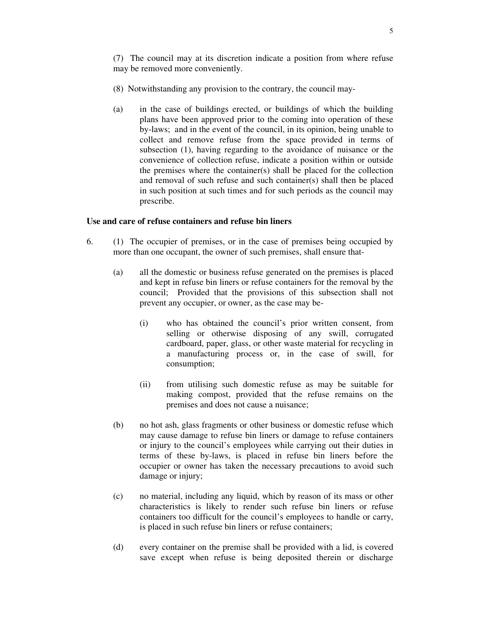- (8) Notwithstanding any provision to the contrary, the council may-
- (a) in the case of buildings erected, or buildings of which the building plans have been approved prior to the coming into operation of these by-laws; and in the event of the council, in its opinion, being unable to collect and remove refuse from the space provided in terms of subsection (1), having regarding to the avoidance of nuisance or the convenience of collection refuse, indicate a position within or outside the premises where the container(s) shall be placed for the collection and removal of such refuse and such container(s) shall then be placed in such position at such times and for such periods as the council may prescribe.

## **Use and care of refuse containers and refuse bin liners**

- 6. (1) The occupier of premises, or in the case of premises being occupied by more than one occupant, the owner of such premises, shall ensure that-
	- (a) all the domestic or business refuse generated on the premises is placed and kept in refuse bin liners or refuse containers for the removal by the council; Provided that the provisions of this subsection shall not prevent any occupier, or owner, as the case may be-
		- (i) who has obtained the council's prior written consent, from selling or otherwise disposing of any swill, corrugated cardboard, paper, glass, or other waste material for recycling in a manufacturing process or, in the case of swill, for consumption;
		- (ii) from utilising such domestic refuse as may be suitable for making compost, provided that the refuse remains on the premises and does not cause a nuisance;
	- (b) no hot ash, glass fragments or other business or domestic refuse which may cause damage to refuse bin liners or damage to refuse containers or injury to the council's employees while carrying out their duties in terms of these by-laws, is placed in refuse bin liners before the occupier or owner has taken the necessary precautions to avoid such damage or injury;
	- (c) no material, including any liquid, which by reason of its mass or other characteristics is likely to render such refuse bin liners or refuse containers too difficult for the council's employees to handle or carry, is placed in such refuse bin liners or refuse containers;
	- (d) every container on the premise shall be provided with a lid, is covered save except when refuse is being deposited therein or discharge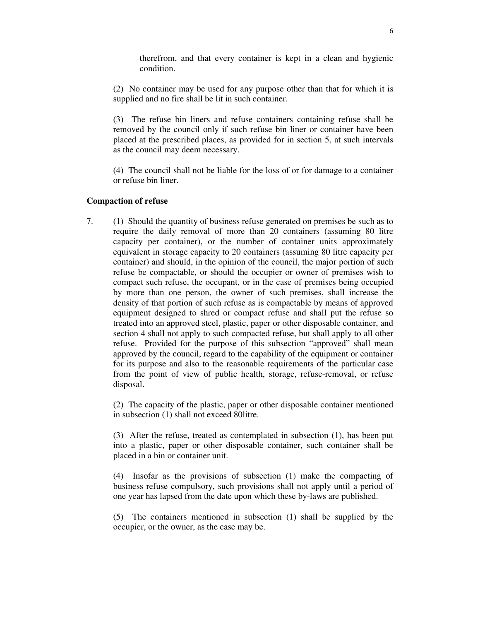therefrom, and that every container is kept in a clean and hygienic condition.

(2) No container may be used for any purpose other than that for which it is supplied and no fire shall be lit in such container.

(3) The refuse bin liners and refuse containers containing refuse shall be removed by the council only if such refuse bin liner or container have been placed at the prescribed places, as provided for in section 5, at such intervals as the council may deem necessary.

(4) The council shall not be liable for the loss of or for damage to a container or refuse bin liner.

#### **Compaction of refuse**

7. (1) Should the quantity of business refuse generated on premises be such as to require the daily removal of more than 20 containers (assuming 80 litre capacity per container), or the number of container units approximately equivalent in storage capacity to 20 containers (assuming 80 litre capacity per container) and should, in the opinion of the council, the major portion of such refuse be compactable, or should the occupier or owner of premises wish to compact such refuse, the occupant, or in the case of premises being occupied by more than one person, the owner of such premises, shall increase the density of that portion of such refuse as is compactable by means of approved equipment designed to shred or compact refuse and shall put the refuse so treated into an approved steel, plastic, paper or other disposable container, and section 4 shall not apply to such compacted refuse, but shall apply to all other refuse. Provided for the purpose of this subsection "approved" shall mean approved by the council, regard to the capability of the equipment or container for its purpose and also to the reasonable requirements of the particular case from the point of view of public health, storage, refuse-removal, or refuse disposal.

(2) The capacity of the plastic, paper or other disposable container mentioned in subsection (1) shall not exceed 80litre.

(3) After the refuse, treated as contemplated in subsection (1), has been put into a plastic, paper or other disposable container, such container shall be placed in a bin or container unit.

(4) Insofar as the provisions of subsection (1) make the compacting of business refuse compulsory, such provisions shall not apply until a period of one year has lapsed from the date upon which these by-laws are published.

(5) The containers mentioned in subsection (1) shall be supplied by the occupier, or the owner, as the case may be.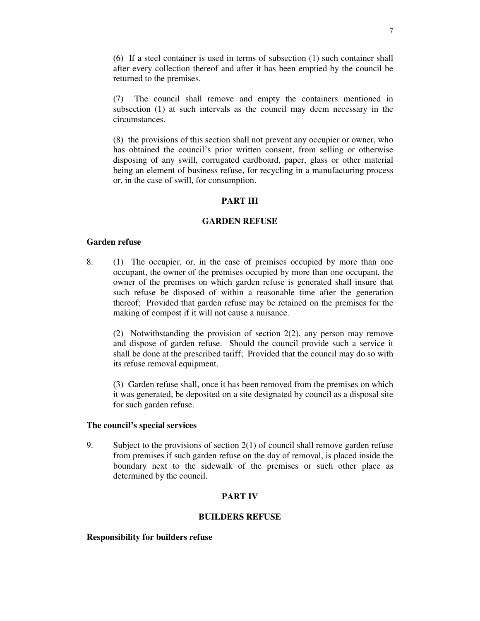(6) If a steel container is used in terms of subsection (1) such container shall after every collection thereof and after it has been emptied by the council be returned to the premises.

(7) The council shall remove and empty the containers mentioned in subsection (1) at such intervals as the council may deem necessary in the circumstances.

(8) the provisions of this section shall not prevent any occupier or owner, who has obtained the council's prior written consent, from selling or otherwise disposing of any swill, corrugated cardboard, paper, glass or other material being an element of business refuse, for recycling in a manufacturing process or, in the case of swill, for consumption.

### **PART III**

### **GARDEN REFUSE**

### **Garden refuse**

8. (1) The occupier, or, in the case of premises occupied by more than one occupant, the owner of the premises occupied by more than one occupant, the owner of the premises on which garden refuse is generated shall insure that such refuse be disposed of within a reasonable time after the generation thereof; Provided that garden refuse may be retained on the premises for the making of compost if it will not cause a nuisance.

(2) Notwithstanding the provision of section 2(2), any person may remove and dispose of garden refuse. Should the council provide such a service it shall be done at the prescribed tariff; Provided that the council may do so with its refuse removal equipment.

(3) Garden refuse shall, once it has been removed from the premises on which it was generated, be deposited on a site designated by council as a disposal site for such garden refuse.

### **The council's special services**

9. Subject to the provisions of section  $2(1)$  of council shall remove garden refuse from premises if such garden refuse on the day of removal, is placed inside the boundary next to the sidewalk of the premises or such other place as determined by the council.

# **PART IV**

### **BUILDERS REFUSE**

#### **Responsibility for builders refuse**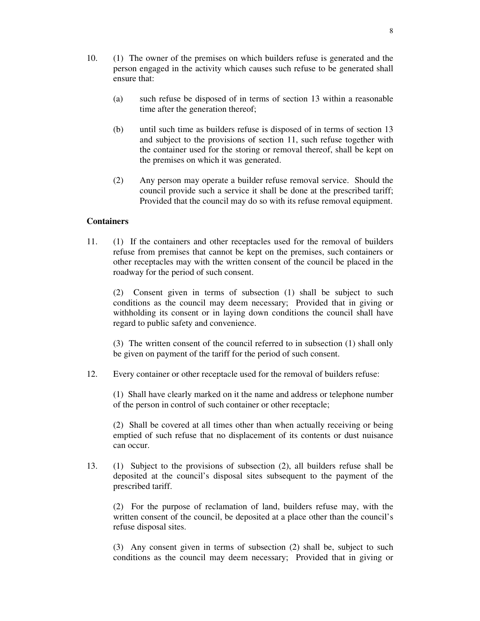- 10. (1) The owner of the premises on which builders refuse is generated and the person engaged in the activity which causes such refuse to be generated shall ensure that:
	- (a) such refuse be disposed of in terms of section 13 within a reasonable time after the generation thereof;
	- (b) until such time as builders refuse is disposed of in terms of section 13 and subject to the provisions of section 11, such refuse together with the container used for the storing or removal thereof, shall be kept on the premises on which it was generated.
	- (2) Any person may operate a builder refuse removal service. Should the council provide such a service it shall be done at the prescribed tariff; Provided that the council may do so with its refuse removal equipment.

## **Containers**

11. (1) If the containers and other receptacles used for the removal of builders refuse from premises that cannot be kept on the premises, such containers or other receptacles may with the written consent of the council be placed in the roadway for the period of such consent.

(2) Consent given in terms of subsection (1) shall be subject to such conditions as the council may deem necessary; Provided that in giving or withholding its consent or in laying down conditions the council shall have regard to public safety and convenience.

(3) The written consent of the council referred to in subsection (1) shall only be given on payment of the tariff for the period of such consent.

12. Every container or other receptacle used for the removal of builders refuse:

(1) Shall have clearly marked on it the name and address or telephone number of the person in control of such container or other receptacle;

(2) Shall be covered at all times other than when actually receiving or being emptied of such refuse that no displacement of its contents or dust nuisance can occur.

13. (1) Subject to the provisions of subsection (2), all builders refuse shall be deposited at the council's disposal sites subsequent to the payment of the prescribed tariff.

(2) For the purpose of reclamation of land, builders refuse may, with the written consent of the council, be deposited at a place other than the council's refuse disposal sites.

(3) Any consent given in terms of subsection (2) shall be, subject to such conditions as the council may deem necessary; Provided that in giving or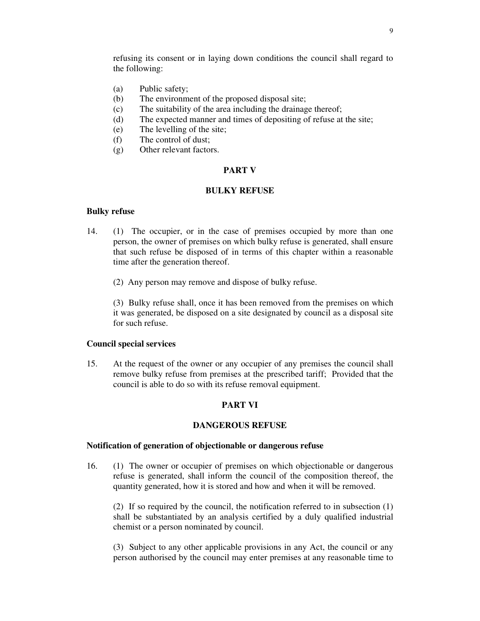refusing its consent or in laying down conditions the council shall regard to the following:

- (a) Public safety;
- (b) The environment of the proposed disposal site;
- (c) The suitability of the area including the drainage thereof;
- (d) The expected manner and times of depositing of refuse at the site;
- (e) The levelling of the site;
- (f) The control of dust;
- (g) Other relevant factors.

### **PART V**

## **BULKY REFUSE**

#### **Bulky refuse**

- 14. (1) The occupier, or in the case of premises occupied by more than one person, the owner of premises on which bulky refuse is generated, shall ensure that such refuse be disposed of in terms of this chapter within a reasonable time after the generation thereof.
	- (2) Any person may remove and dispose of bulky refuse.

(3) Bulky refuse shall, once it has been removed from the premises on which it was generated, be disposed on a site designated by council as a disposal site for such refuse.

### **Council special services**

15. At the request of the owner or any occupier of any premises the council shall remove bulky refuse from premises at the prescribed tariff; Provided that the council is able to do so with its refuse removal equipment.

### **PART VI**

## **DANGEROUS REFUSE**

#### **Notification of generation of objectionable or dangerous refuse**

16. (1) The owner or occupier of premises on which objectionable or dangerous refuse is generated, shall inform the council of the composition thereof, the quantity generated, how it is stored and how and when it will be removed.

(2) If so required by the council, the notification referred to in subsection (1) shall be substantiated by an analysis certified by a duly qualified industrial chemist or a person nominated by council.

(3) Subject to any other applicable provisions in any Act, the council or any person authorised by the council may enter premises at any reasonable time to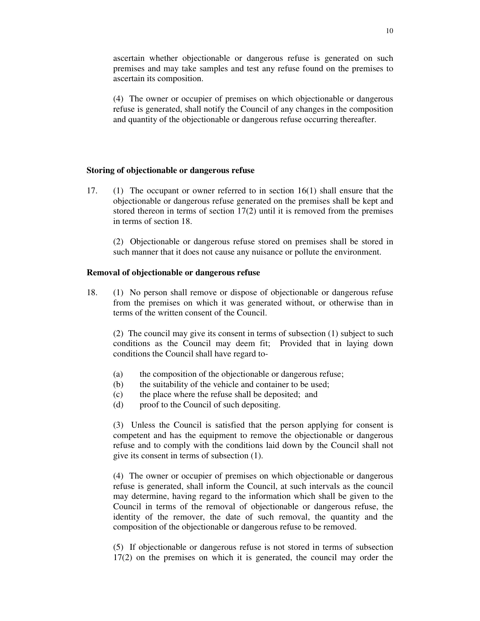ascertain whether objectionable or dangerous refuse is generated on such premises and may take samples and test any refuse found on the premises to ascertain its composition.

(4) The owner or occupier of premises on which objectionable or dangerous refuse is generated, shall notify the Council of any changes in the composition and quantity of the objectionable or dangerous refuse occurring thereafter.

### **Storing of objectionable or dangerous refuse**

17. (1) The occupant or owner referred to in section 16(1) shall ensure that the objectionable or dangerous refuse generated on the premises shall be kept and stored thereon in terms of section 17(2) until it is removed from the premises in terms of section 18.

(2) Objectionable or dangerous refuse stored on premises shall be stored in such manner that it does not cause any nuisance or pollute the environment.

#### **Removal of objectionable or dangerous refuse**

18. (1) No person shall remove or dispose of objectionable or dangerous refuse from the premises on which it was generated without, or otherwise than in terms of the written consent of the Council.

(2) The council may give its consent in terms of subsection (1) subject to such conditions as the Council may deem fit; Provided that in laying down conditions the Council shall have regard to-

- (a) the composition of the objectionable or dangerous refuse;
- (b) the suitability of the vehicle and container to be used;
- (c) the place where the refuse shall be deposited; and
- (d) proof to the Council of such depositing.

(3) Unless the Council is satisfied that the person applying for consent is competent and has the equipment to remove the objectionable or dangerous refuse and to comply with the conditions laid down by the Council shall not give its consent in terms of subsection (1).

(4) The owner or occupier of premises on which objectionable or dangerous refuse is generated, shall inform the Council, at such intervals as the council may determine, having regard to the information which shall be given to the Council in terms of the removal of objectionable or dangerous refuse, the identity of the remover, the date of such removal, the quantity and the composition of the objectionable or dangerous refuse to be removed.

(5) If objectionable or dangerous refuse is not stored in terms of subsection 17(2) on the premises on which it is generated, the council may order the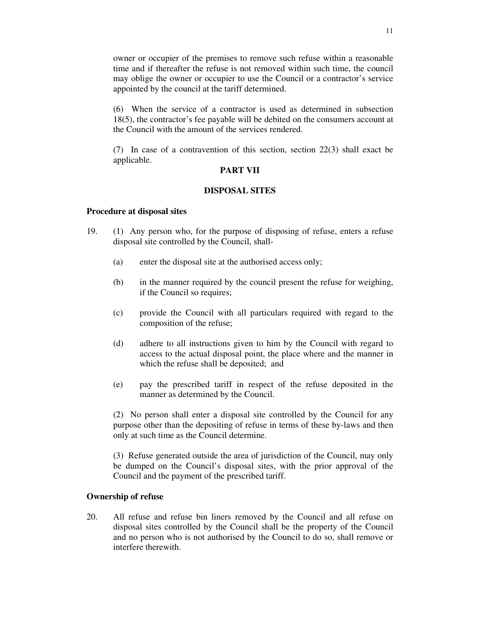owner or occupier of the premises to remove such refuse within a reasonable time and if thereafter the refuse is not removed within such time, the council may oblige the owner or occupier to use the Council or a contractor's service appointed by the council at the tariff determined.

(6) When the service of a contractor is used as determined in subsection 18(5), the contractor's fee payable will be debited on the consumers account at the Council with the amount of the services rendered.

(7) In case of a contravention of this section, section 22(3) shall exact be applicable.

### **PART VII**

## **DISPOSAL SITES**

### **Procedure at disposal sites**

- 19. (1) Any person who, for the purpose of disposing of refuse, enters a refuse disposal site controlled by the Council, shall-
	- (a) enter the disposal site at the authorised access only;
	- (b) in the manner required by the council present the refuse for weighing, if the Council so requires;
	- (c) provide the Council with all particulars required with regard to the composition of the refuse;
	- (d) adhere to all instructions given to him by the Council with regard to access to the actual disposal point, the place where and the manner in which the refuse shall be deposited; and
	- (e) pay the prescribed tariff in respect of the refuse deposited in the manner as determined by the Council.

(2) No person shall enter a disposal site controlled by the Council for any purpose other than the depositing of refuse in terms of these by-laws and then only at such time as the Council determine.

(3) Refuse generated outside the area of jurisdiction of the Council, may only be dumped on the Council's disposal sites, with the prior approval of the Council and the payment of the prescribed tariff.

### **Ownership of refuse**

20. All refuse and refuse bin liners removed by the Council and all refuse on disposal sites controlled by the Council shall be the property of the Council and no person who is not authorised by the Council to do so, shall remove or interfere therewith.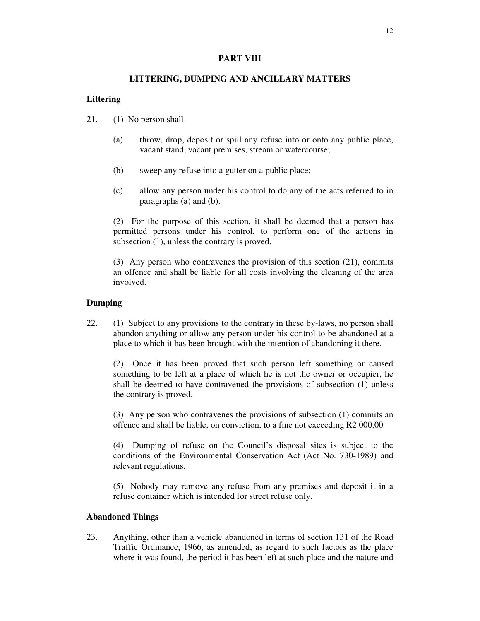## **PART VIII**

## **LITTERING, DUMPING AND ANCILLARY MATTERS**

## **Littering**

- 21. (1) No person shall-
	- (a) throw, drop, deposit or spill any refuse into or onto any public place, vacant stand, vacant premises, stream or watercourse;
	- (b) sweep any refuse into a gutter on a public place;
	- (c) allow any person under his control to do any of the acts referred to in paragraphs (a) and (b).

(2) For the purpose of this section, it shall be deemed that a person has permitted persons under his control, to perform one of the actions in subsection (1), unless the contrary is proved.

(3) Any person who contravenes the provision of this section (21), commits an offence and shall be liable for all costs involving the cleaning of the area involved.

# **Dumping**

22. (1) Subject to any provisions to the contrary in these by-laws, no person shall abandon anything or allow any person under his control to be abandoned at a place to which it has been brought with the intention of abandoning it there.

(2) Once it has been proved that such person left something or caused something to be left at a place of which he is not the owner or occupier, he shall be deemed to have contravened the provisions of subsection (1) unless the contrary is proved.

(3) Any person who contravenes the provisions of subsection (1) commits an offence and shall be liable, on conviction, to a fine not exceeding R2 000.00

(4) Dumping of refuse on the Council's disposal sites is subject to the conditions of the Environmental Conservation Act (Act No. 730-1989) and relevant regulations.

(5) Nobody may remove any refuse from any premises and deposit it in a refuse container which is intended for street refuse only.

# **Abandoned Things**

23. Anything, other than a vehicle abandoned in terms of section 131 of the Road Traffic Ordinance, 1966, as amended, as regard to such factors as the place where it was found, the period it has been left at such place and the nature and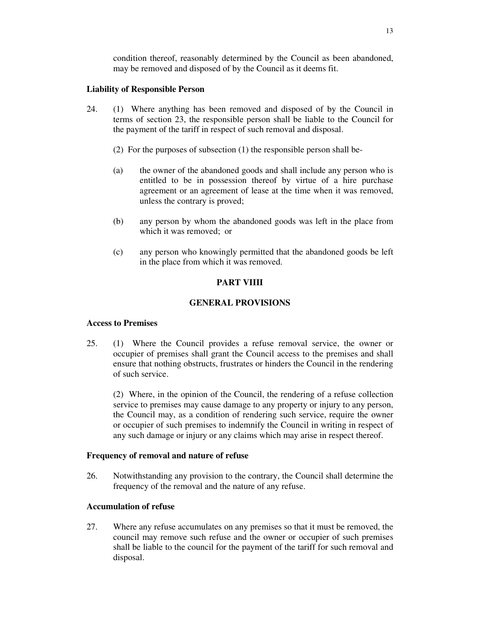# **Liability of Responsible Person**

- 24. (1) Where anything has been removed and disposed of by the Council in terms of section 23, the responsible person shall be liable to the Council for the payment of the tariff in respect of such removal and disposal.
	- (2) For the purposes of subsection (1) the responsible person shall be-
	- (a) the owner of the abandoned goods and shall include any person who is entitled to be in possession thereof by virtue of a hire purchase agreement or an agreement of lease at the time when it was removed, unless the contrary is proved;
	- (b) any person by whom the abandoned goods was left in the place from which it was removed; or
	- (c) any person who knowingly permitted that the abandoned goods be left in the place from which it was removed.

# **PART VIIII**

# **GENERAL PROVISIONS**

# **Access to Premises**

25. (1) Where the Council provides a refuse removal service, the owner or occupier of premises shall grant the Council access to the premises and shall ensure that nothing obstructs, frustrates or hinders the Council in the rendering of such service.

(2) Where, in the opinion of the Council, the rendering of a refuse collection service to premises may cause damage to any property or injury to any person, the Council may, as a condition of rendering such service, require the owner or occupier of such premises to indemnify the Council in writing in respect of any such damage or injury or any claims which may arise in respect thereof.

# **Frequency of removal and nature of refuse**

26. Notwithstanding any provision to the contrary, the Council shall determine the frequency of the removal and the nature of any refuse.

# **Accumulation of refuse**

27. Where any refuse accumulates on any premises so that it must be removed, the council may remove such refuse and the owner or occupier of such premises shall be liable to the council for the payment of the tariff for such removal and disposal.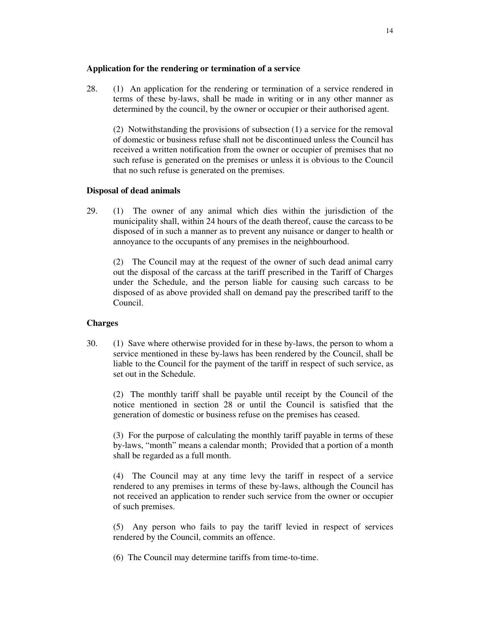## **Application for the rendering or termination of a service**

28. (1) An application for the rendering or termination of a service rendered in terms of these by-laws, shall be made in writing or in any other manner as determined by the council, by the owner or occupier or their authorised agent.

(2) Notwithstanding the provisions of subsection (1) a service for the removal of domestic or business refuse shall not be discontinued unless the Council has received a written notification from the owner or occupier of premises that no such refuse is generated on the premises or unless it is obvious to the Council that no such refuse is generated on the premises.

# **Disposal of dead animals**

29. (1) The owner of any animal which dies within the jurisdiction of the municipality shall, within 24 hours of the death thereof, cause the carcass to be disposed of in such a manner as to prevent any nuisance or danger to health or annoyance to the occupants of any premises in the neighbourhood.

(2) The Council may at the request of the owner of such dead animal carry out the disposal of the carcass at the tariff prescribed in the Tariff of Charges under the Schedule, and the person liable for causing such carcass to be disposed of as above provided shall on demand pay the prescribed tariff to the Council.

# **Charges**

30. (1) Save where otherwise provided for in these by-laws, the person to whom a service mentioned in these by-laws has been rendered by the Council, shall be liable to the Council for the payment of the tariff in respect of such service, as set out in the Schedule.

(2) The monthly tariff shall be payable until receipt by the Council of the notice mentioned in section 28 or until the Council is satisfied that the generation of domestic or business refuse on the premises has ceased.

(3) For the purpose of calculating the monthly tariff payable in terms of these by-laws, "month" means a calendar month; Provided that a portion of a month shall be regarded as a full month.

(4) The Council may at any time levy the tariff in respect of a service rendered to any premises in terms of these by-laws, although the Council has not received an application to render such service from the owner or occupier of such premises.

(5) Any person who fails to pay the tariff levied in respect of services rendered by the Council, commits an offence.

(6) The Council may determine tariffs from time-to-time.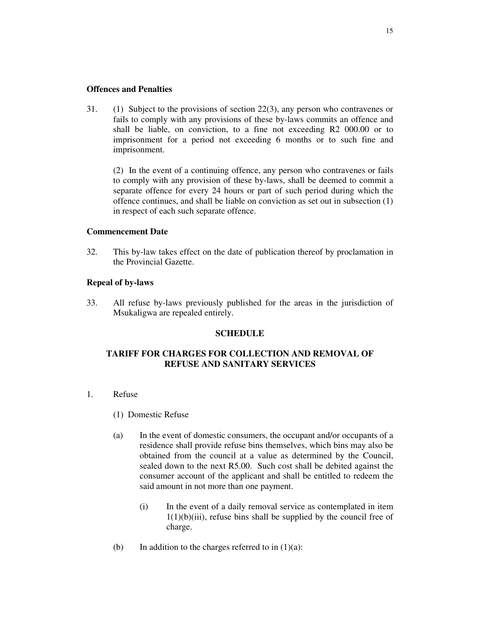## **Offences and Penalties**

31. (1) Subject to the provisions of section 22(3), any person who contravenes or fails to comply with any provisions of these by-laws commits an offence and shall be liable, on conviction, to a fine not exceeding R2 000.00 or to imprisonment for a period not exceeding 6 months or to such fine and imprisonment.

(2) In the event of a continuing offence, any person who contravenes or fails to comply with any provision of these by-laws, shall be deemed to commit a separate offence for every 24 hours or part of such period during which the offence continues, and shall be liable on conviction as set out in subsection (1) in respect of each such separate offence.

## **Commencement Date**

32. This by-law takes effect on the date of publication thereof by proclamation in the Provincial Gazette.

## **Repeal of by-laws**

33. All refuse by-laws previously published for the areas in the jurisdiction of Msukaligwa are repealed entirely.

### **SCHEDULE**

# **TARIFF FOR CHARGES FOR COLLECTION AND REMOVAL OF REFUSE AND SANITARY SERVICES**

- 1. Refuse
	- (1) Domestic Refuse
	- (a) In the event of domestic consumers, the occupant and/or occupants of a residence shall provide refuse bins themselves, which bins may also be obtained from the council at a value as determined by the Council, sealed down to the next R5.00. Such cost shall be debited against the consumer account of the applicant and shall be entitled to redeem the said amount in not more than one payment.
		- (i) In the event of a daily removal service as contemplated in item  $1(1)(b)(iii)$ , refuse bins shall be supplied by the council free of charge.
	- (b) In addition to the charges referred to in  $(1)(a)$ :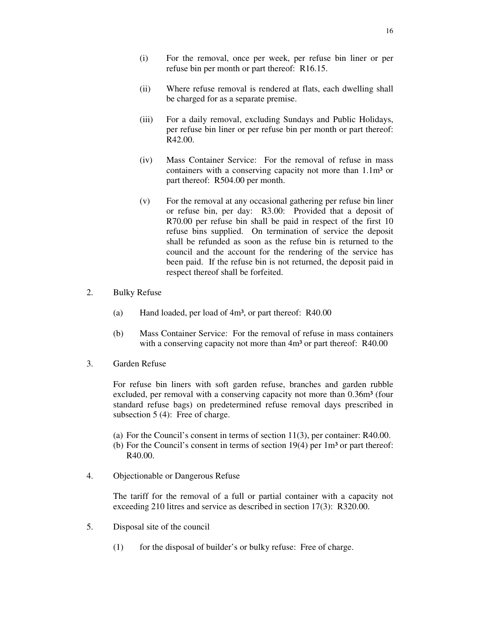- (i) For the removal, once per week, per refuse bin liner or per refuse bin per month or part thereof: R16.15.
- (ii) Where refuse removal is rendered at flats, each dwelling shall be charged for as a separate premise.
- (iii) For a daily removal, excluding Sundays and Public Holidays, per refuse bin liner or per refuse bin per month or part thereof: R42.00.
- (iv) Mass Container Service: For the removal of refuse in mass containers with a conserving capacity not more than 1.1m<sup>3</sup> or part thereof: R504.00 per month.
- (v) For the removal at any occasional gathering per refuse bin liner or refuse bin, per day: R3.00: Provided that a deposit of R70.00 per refuse bin shall be paid in respect of the first 10 refuse bins supplied. On termination of service the deposit shall be refunded as soon as the refuse bin is returned to the council and the account for the rendering of the service has been paid. If the refuse bin is not returned, the deposit paid in respect thereof shall be forfeited.
- 2. Bulky Refuse
	- (a) Hand loaded, per load of 4m³, or part thereof: R40.00
	- (b) Mass Container Service: For the removal of refuse in mass containers with a conserving capacity not more than  $4m<sup>3</sup>$  or part thereof: R40.00
- 3. Garden Refuse

For refuse bin liners with soft garden refuse, branches and garden rubble excluded, per removal with a conserving capacity not more than  $0.36m<sup>3</sup>$  (four standard refuse bags) on predetermined refuse removal days prescribed in subsection 5 (4): Free of charge.

- (a) For the Council's consent in terms of section 11(3), per container: R40.00.
- (b) For the Council's consent in terms of section  $19(4)$  per  $1m<sup>3</sup>$  or part thereof: R40.00.
- 4. Objectionable or Dangerous Refuse

The tariff for the removal of a full or partial container with a capacity not exceeding 210 litres and service as described in section 17(3): R320.00.

- 5. Disposal site of the council
	- (1) for the disposal of builder's or bulky refuse: Free of charge.